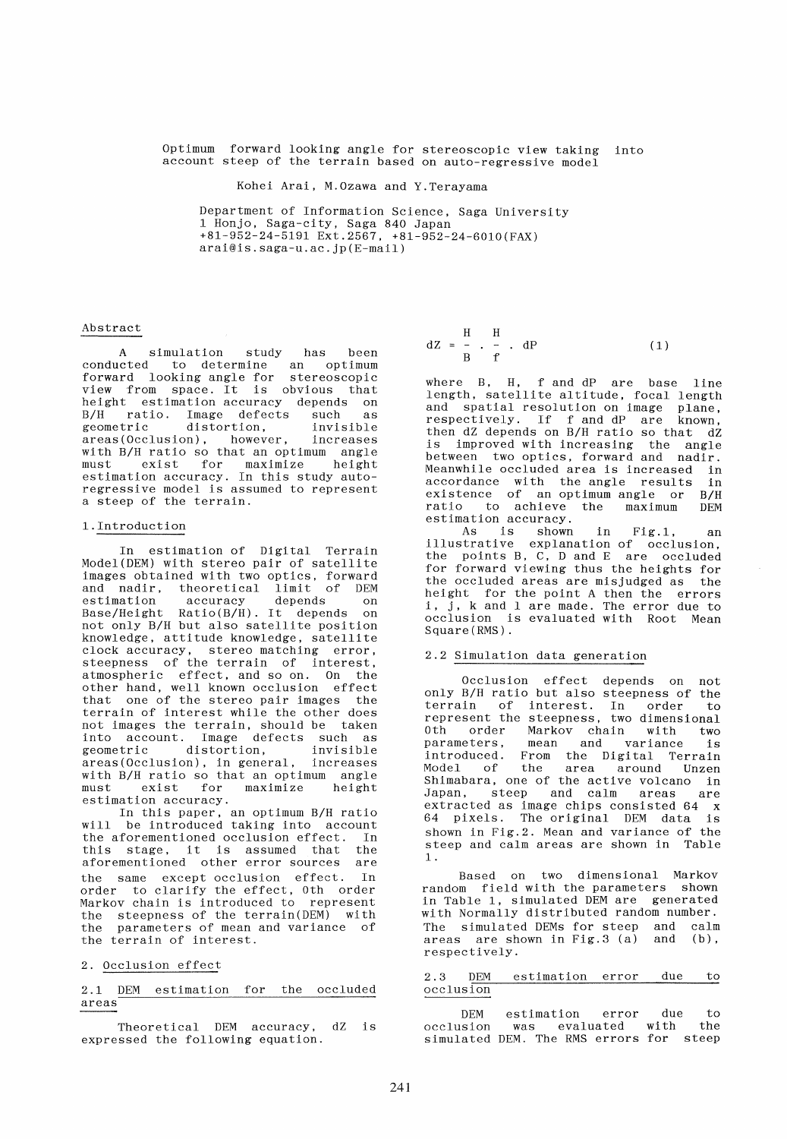Optimum forward looking angle for stereoscopie view taking into account steep of the terrain based on auto-regressive model

Kohei Arai, M.Ozawa and Y.Terayama

Department of Information Science, Saga University 1 Honjo, Saga-city, Saga 840 Japan +81-952-24-5191 Ext.2567, +81-952-24-6010(FAX) arai@is.saga-u.ac.jp(E-mail)

#### Abstract

A simulation study has been conducted to determine an optimum forward looking angle for stereoscopie view from space. It is obvious that height estimation accuracy depends on B/H ratio. Image defects such as<br>geometric distortion. invisible distortion, invisible<br>on), however, increases areas(Occlusion), with B/H ratio so that an optimum angle<br>must exist for maximize height must exist for maximize height estimation accuracy. In this study autoregressive model is assumed to represent a steep of the terrain.

# 1.Introduction

In estimation of Digital Terrain Model(DEM) with stereo pair of satellite images obtained with two optics, forward and nadir, theoretical limit of DEM estimation accuracy depends on Base/Height Ratio(B/H). It depends on Base/Height Ratio(B/H). It depends on<br>not only B/H but also satellite position knowledge, attitude knowledge, satellite clock accuracy, stereo matching error, steepness of the terrain of interest, atmospheric effect, and so on. On the other hand, weil known occlusion effect that one of the stereo pair images the terrain of interest while the other does not images the terrain, should be taken into account. Image defects such as distortion, invisible areas(Occlusion), in general, increases with B/H ratio so that an optimum angle must exist for maximize height must exist for<br>estimation accuracy.

In this paper, an optimum B/H ratio will be introduced taking into account<br>the aforementioned occlusion effect. In the aforementioned occlusion effect. In<br>this stage, it is assumed that the this stage, it is assumed that aforementioned other error sources are the same except occlusion effect. In order to clarify the effect, 0th order Markov chain is introduced to represent the steepness of the terrain(DEM) with<br>the parameters of mean and variance of parameters of mean and variance of the terrain of interest.

## 2. Occlusion effect

## 2.1 DEM estimation for the occluded areas

Theoretical DEM accuracy, dZ is expressed the following equation.

$$
dZ = \frac{H}{B} \cdot \frac{H}{f} \cdot \text{d}P \tag{1}
$$

where B, H, fand dP are base line length, satellite altitude, focal length and spatial resolution on image plane, respectively. If fand dP are known, then dZ depends on B/H ratio so that dZ is improved with increasing the angle between two optics, forward and nadir.<br>Meanwhile occluded area is increased in Meanwhile occluded area is increased in accordance with the angle results existence of an optimum angle or B/H ratio to achieve the maximum DEM estimation accuracy.<br>As is shown

As is shown in Fig.1, an illustrative explanation of occlusion. explanation of occlusion, the points B, C, D and E are occluded for forward viewing thus the heights for the occluded areas are misjudged as the height for the point A then the errors i, j, k and 1 are made. The error due to occlusion is evaluated with Root Mean Square(RMS) .

#### 2.2 Simulation data generation

Occlusion effect depends on not only B/H ratio but also steepness of the terrain of interest. In represent the steepness, two dimensional<br>Oth order Markoy chain with two Oth order Markov chain with two<br>parameters, mean and variance is parameters, mean and variance is introduced. From the Digital Terrain Model of the area around Unzen Model of the area around Unzen<br>Shimabara, one-of-the-active-volcano in<br>Japan, steep and calm areas are and calm areas extracted as image chips consisted 64 x 64 pixels. The original DEM data is shown in Fig.2. Mean and variance of the steep and calm areas are shown in Table 1.

Based on two dimensional Markov random field with the parameters shown in Table 1, simulated DEM are generated with Normally distributed random number. The simulated DEMs for steep and calm areas are shown in Fig. 3  $(a)$  and  $(b)$ , respectively.

## 2.3 DEM estimation error due to occlusion

DEM estimation error due to<br>occlusion was evaluated with the was evaluated with simulated DEM. The RMS errors for steep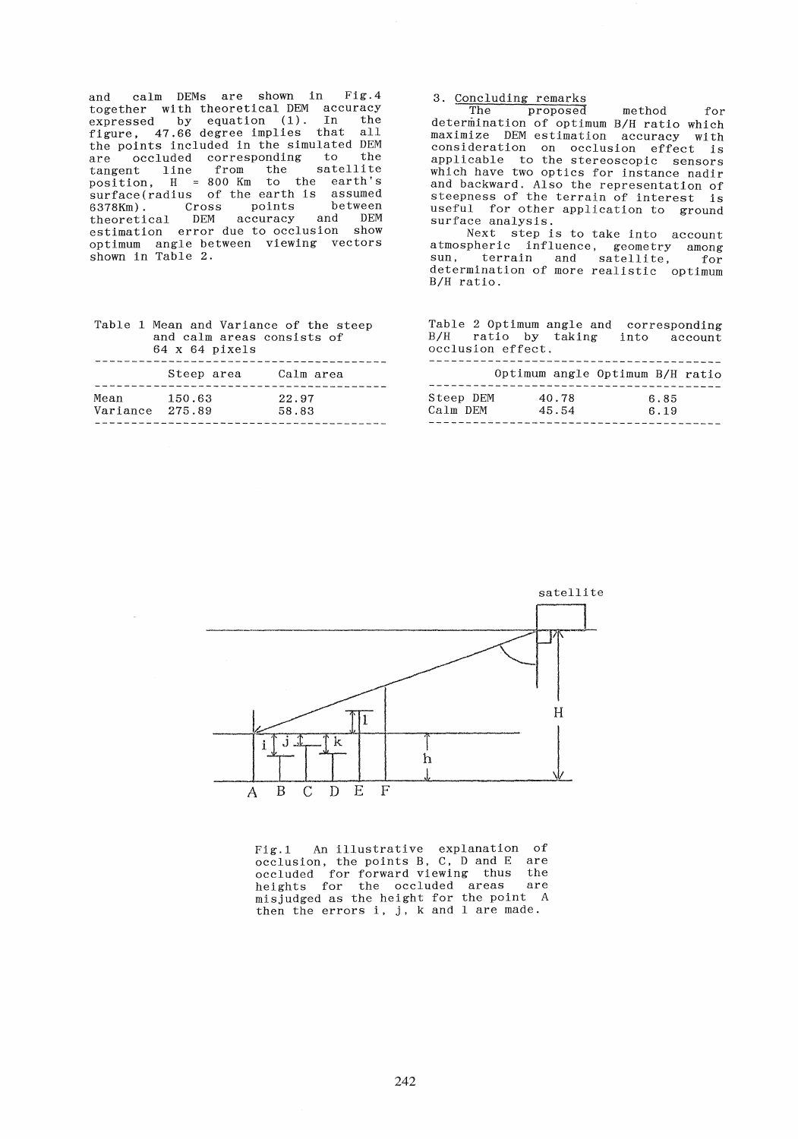and calm DEMs are shown in Fig.4 together with theoretical DEM accuracy expressed by equation (1). In the figure, 47.66 degree implies that all the points included in the simulated DEM are occluded corresponding to the tangent line from the satellite  $position, H = 800$  Km to the earth's surface(radius of the earth is assumed 6378Km) . Cross points between 6378Km). Cross points between<br>theoretical DEM accuracy and DEM estimation error due to occlusion show optimum angle between viewing vectors shown in Table 2.

|      | and calm areas consists of<br>64 x 64 pixels | Table 1 Mean and Variance of the steep |
|------|----------------------------------------------|----------------------------------------|
|      | Steep area Calm area                         |                                        |
| Mean | 150.63<br>Variance 275.89                    | 22.97<br>58.83                         |

# 3. Concluding remarks

The proposed method for determination of optimum B/H ratio which maximize DEM estimation accuracy with consideration on occlusion effect is applicable to the stereoscopie sensors which have two optics for instance nadir and backward. Also the representation of steepness of the terrain of interest is useful for other application to ground surface analysis.

Next step is to take into account atmospheric influence, geometry among sun, terrain and satellite, for determination of more realistic optimum B/H ratio.

Table 2 Optimum angle and corresponding B/H ratio by taking into account occlusion effect.

|                       |                | Optimum angle Optimum B/H ratio |              |  |
|-----------------------|----------------|---------------------------------|--------------|--|
| Steep DEM<br>Calm DEM | 40.78<br>45.54 |                                 | 6.85<br>6.19 |  |
|                       |                |                                 |              |  |



Fig.1 An illustrative explanation of occlusion, the points B, C. D and E are occluded for forward viewing thus the heights for the occluded areas are misjudged as the height for the point A then the errors i, j, k and l are made.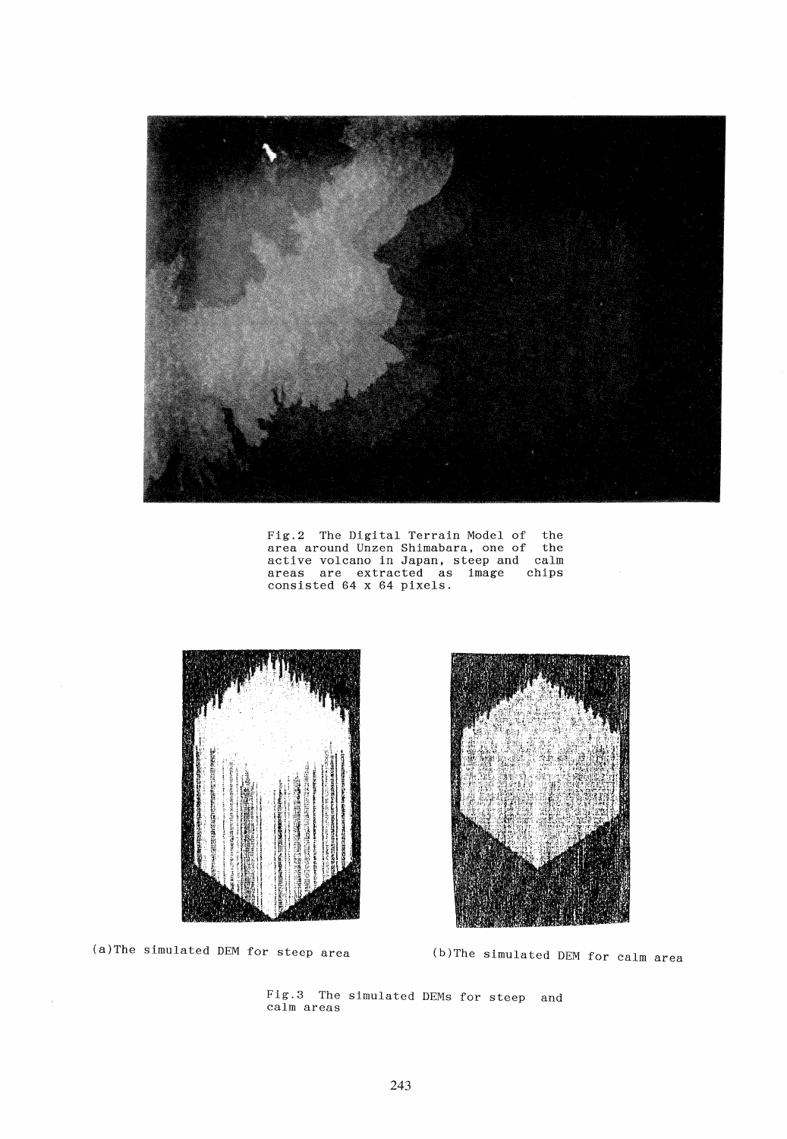

Fig.2 The Digital Terrain Model of area around Unzen Shimabara, one of active volcano in Japan, steep and areas are extracted as image consisted 64 x 64 pixels. the the calm chips



 $\bar{1}$ 

(a)The simulated DEM for steep area (b)The simulated DEM for calm area

Fig.3 The simulated DEMs for steep and calm areas